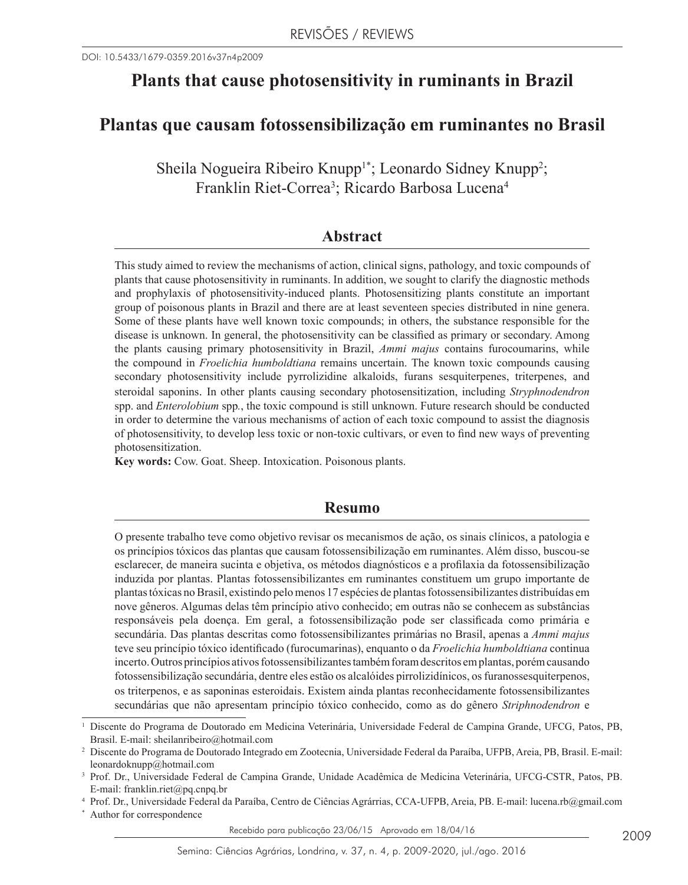# **Plants that cause photosensitivity in ruminants in Brazil**

# **Plantas que causam fotossensibilização em ruminantes no Brasil**

Sheila Nogueira Ribeiro Knupp<sup>1</sup><sup>\*</sup>; Leonardo Sidney Knupp<sup>2</sup>; Franklin Riet-Correa<sup>3</sup>; Ricardo Barbosa Lucena<sup>4</sup>

## **Abstract**

This study aimed to review the mechanisms of action, clinical signs, pathology, and toxic compounds of plants that cause photosensitivity in ruminants. In addition, we sought to clarify the diagnostic methods and prophylaxis of photosensitivity-induced plants. Photosensitizing plants constitute an important group of poisonous plants in Brazil and there are at least seventeen species distributed in nine genera. Some of these plants have well known toxic compounds; in others, the substance responsible for the disease is unknown. In general, the photosensitivity can be classified as primary or secondary. Among the plants causing primary photosensitivity in Brazil, *Ammi majus* contains furocoumarins, while the compound in *Froelichia humboldtiana* remains uncertain. The known toxic compounds causing secondary photosensitivity include pyrrolizidine alkaloids, furans sesquiterpenes, triterpenes, and steroidal saponins. In other plants causing secondary photosensitization, including *Stryphnodendron* spp. and *Enterolobium* spp*.*, the toxic compound is still unknown. Future research should be conducted in order to determine the various mechanisms of action of each toxic compound to assist the diagnosis of photosensitivity, to develop less toxic or non-toxic cultivars, or even to find new ways of preventing photosensitization.

**Key words:** Cow. Goat. Sheep. Intoxication. Poisonous plants.

# **Resumo**

O presente trabalho teve como objetivo revisar os mecanismos de ação, os sinais clínicos, a patologia e os princípios tóxicos das plantas que causam fotossensibilização em ruminantes. Além disso, buscou-se esclarecer, de maneira sucinta e objetiva, os métodos diagnósticos e a profilaxia da fotossensibilização induzida por plantas. Plantas fotossensibilizantes em ruminantes constituem um grupo importante de plantas tóxicas no Brasil, existindo pelo menos 17 espécies de plantas fotossensibilizantes distribuídas em nove gêneros. Algumas delas têm princípio ativo conhecido; em outras não se conhecem as substâncias responsáveis pela doença. Em geral, a fotossensibilização pode ser classificada como primária e secundária. Das plantas descritas como fotossensibilizantes primárias no Brasil, apenas a *Ammi majus* teve seu princípio tóxico identificado (furocumarinas), enquanto o da *Froelichia humboldtiana* continua incerto. Outros princípios ativos fotossensibilizantes também foram descritos em plantas, porém causando fotossensibilização secundária, dentre eles estão os alcalóides pirrolizidínicos, os furanossesquiterpenos, os triterpenos, e as saponinas esteroidais. Existem ainda plantas reconhecidamente fotossensibilizantes secundárias que não apresentam princípio tóxico conhecido, como as do gênero *Striphnodendron* e

\* Author for correspondence

Recebido para publicação 23/06/15 Aprovado em 18/04/16

<sup>1</sup> Discente do Programa de Doutorado em Medicina Veterinária, Universidade Federal de Campina Grande, UFCG, Patos, PB, Brasil. E-mail: sheilanribeiro@hotmail.com

<sup>2</sup> Discente do Programa de Doutorado Integrado em Zootecnia, Universidade Federal da Paraíba, UFPB, Areia, PB, Brasil. E-mail: leonardoknupp@hotmail.com

<sup>3</sup> Prof. Dr., Universidade Federal de Campina Grande, Unidade Acadêmica de Medicina Veterinária, UFCG-CSTR, Patos, PB. E-mail: franklin.riet@pq.cnpq.br

<sup>4</sup> Prof. Dr., Universidade Federal da Paraíba, Centro de Ciências Agrárrias, CCA-UFPB, Areia, PB. E-mail: lucena.rb@gmail.com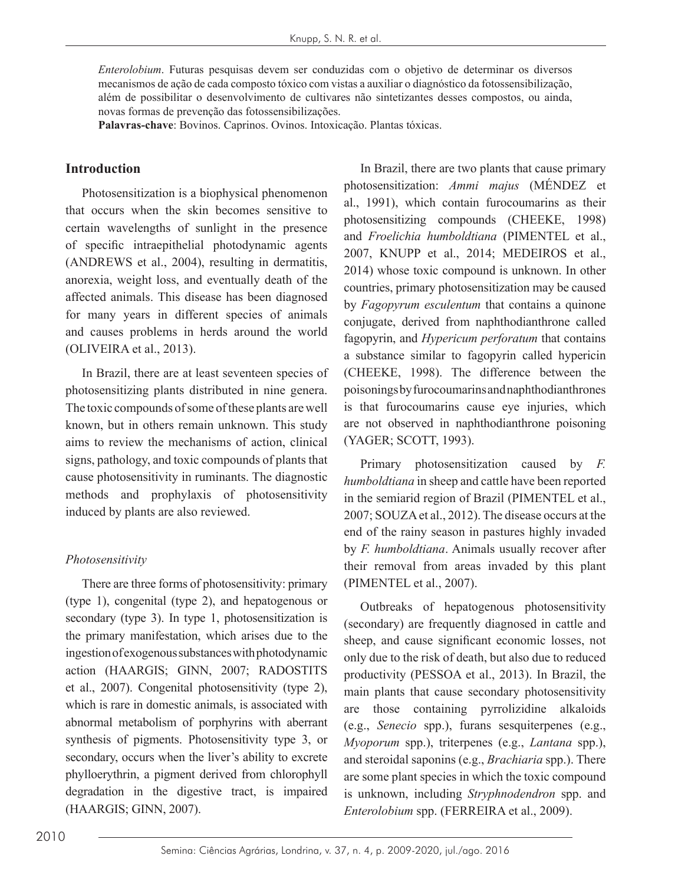*Enterolobium*. Futuras pesquisas devem ser conduzidas com o objetivo de determinar os diversos mecanismos de ação de cada composto tóxico com vistas a auxiliar o diagnóstico da fotossensibilização, além de possibilitar o desenvolvimento de cultivares não sintetizantes desses compostos, ou ainda, novas formas de prevenção das fotossensibilizações.

**Palavras-chave**: Bovinos. Caprinos. Ovinos. Intoxicação. Plantas tóxicas.

#### **Introduction**

Photosensitization is a biophysical phenomenon that occurs when the skin becomes sensitive to certain wavelengths of sunlight in the presence of specific intraepithelial photodynamic agents (ANDREWS et al., 2004), resulting in dermatitis, anorexia, weight loss, and eventually death of the affected animals. This disease has been diagnosed for many years in different species of animals and causes problems in herds around the world (OLIVEIRA et al., 2013).

In Brazil, there are at least seventeen species of photosensitizing plants distributed in nine genera. The toxic compounds of some of these plants are well known, but in others remain unknown. This study aims to review the mechanisms of action, clinical signs, pathology, and toxic compounds of plants that cause photosensitivity in ruminants. The diagnostic methods and prophylaxis of photosensitivity induced by plants are also reviewed.

#### *Photosensitivity*

There are three forms of photosensitivity: primary (type 1), congenital (type 2), and hepatogenous or secondary (type 3). In type 1, photosensitization is the primary manifestation, which arises due to the ingestion of exogenous substances with photodynamic action (HAARGIS; GINN, 2007; RADOSTITS et al., 2007). Congenital photosensitivity (type 2), which is rare in domestic animals, is associated with abnormal metabolism of porphyrins with aberrant synthesis of pigments. Photosensitivity type 3, or secondary, occurs when the liver's ability to excrete phylloerythrin, a pigment derived from chlorophyll degradation in the digestive tract, is impaired (HAARGIS; GINN, 2007).

In Brazil, there are two plants that cause primary photosensitization: *Ammi majus* (MÉNDEZ et al., 1991), which contain furocoumarins as their photosensitizing compounds (CHEEKE, 1998) and *Froelichia humboldtiana* (PIMENTEL et al., 2007, KNUPP et al., 2014; MEDEIROS et al., 2014) whose toxic compound is unknown. In other countries, primary photosensitization may be caused by *Fagopyrum esculentum* that contains a quinone conjugate, derived from naphthodianthrone called fagopyrin, and *Hypericum perforatum* that contains a substance similar to fagopyrin called hypericin (CHEEKE, 1998). The difference between the poisonings by furocoumarins and naphthodianthrones is that furocoumarins cause eye injuries, which are not observed in naphthodianthrone poisoning (YAGER; SCOTT, 1993).

Primary photosensitization caused by *F. humboldtiana* in sheep and cattle have been reported in the semiarid region of Brazil (PIMENTEL et al., 2007; SOUZA et al., 2012). The disease occurs at the end of the rainy season in pastures highly invaded by *F. humboldtiana*. Animals usually recover after their removal from areas invaded by this plant (PIMENTEL et al., 2007).

Outbreaks of hepatogenous photosensitivity (secondary) are frequently diagnosed in cattle and sheep, and cause significant economic losses, not only due to the risk of death, but also due to reduced productivity (PESSOA et al., 2013). In Brazil, the main plants that cause secondary photosensitivity are those containing pyrrolizidine alkaloids (e.g., *Senecio* spp.), furans sesquiterpenes (e.g., *Myoporum* spp.), triterpenes (e.g., *Lantana* spp.), and steroidal saponins (e.g., *Brachiaria* spp.). There are some plant species in which the toxic compound is unknown, including *Stryphnodendron* spp. and *Enterolobium* spp. (FERREIRA et al., 2009).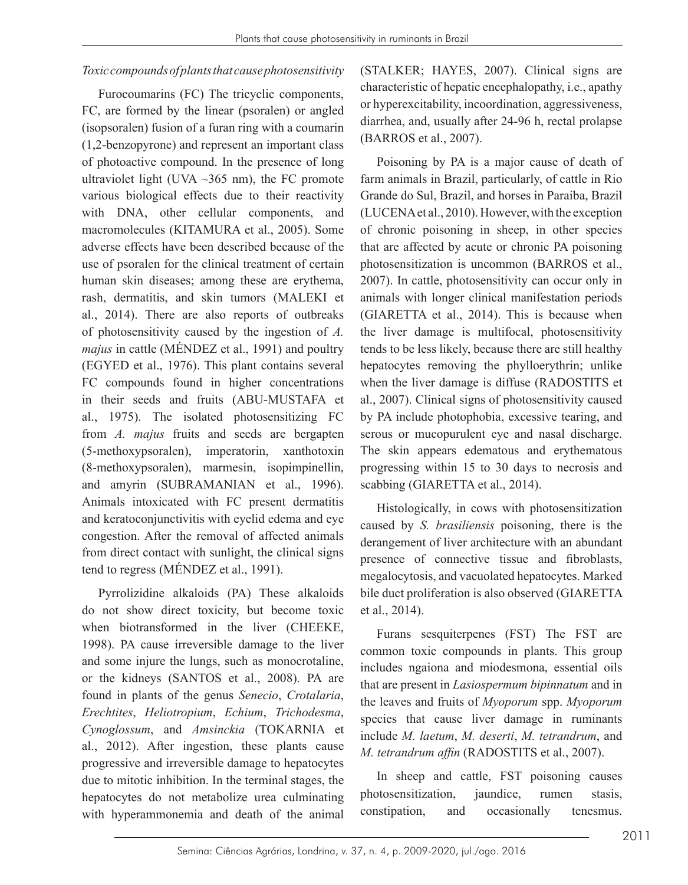#### *Toxic compounds of plants that cause photosensitivity*

Furocoumarins (FC) The tricyclic components, FC, are formed by the linear (psoralen) or angled (isopsoralen) fusion of a furan ring with a coumarin (1,2-benzopyrone) and represent an important class of photoactive compound. In the presence of long ultraviolet light (UVA  $\sim$ 365 nm), the FC promote various biological effects due to their reactivity with DNA, other cellular components, and macromolecules (KITAMURA et al., 2005). Some adverse effects have been described because of the use of psoralen for the clinical treatment of certain human skin diseases; among these are erythema, rash, dermatitis, and skin tumors (MALEKI et al., 2014). There are also reports of outbreaks of photosensitivity caused by the ingestion of *A. majus* in cattle (MÉNDEZ et al., 1991) and poultry (EGYED et al., 1976). This plant contains several FC compounds found in higher concentrations in their seeds and fruits (ABU-MUSTAFA et al., 1975). The isolated photosensitizing FC from *A. majus* fruits and seeds are bergapten (5-methoxypsoralen), imperatorin, xanthotoxin (8-methoxypsoralen), marmesin, isopimpinellin, and amyrin (SUBRAMANIAN et al., 1996). Animals intoxicated with FC present dermatitis and keratoconjunctivitis with eyelid edema and eye congestion. After the removal of affected animals from direct contact with sunlight, the clinical signs tend to regress (MÉNDEZ et al., 1991).

Pyrrolizidine alkaloids (PA) These alkaloids do not show direct toxicity, but become toxic when biotransformed in the liver (CHEEKE, 1998). PA cause irreversible damage to the liver and some injure the lungs, such as monocrotaline, or the kidneys (SANTOS et al., 2008). PA are found in plants of the genus *Senecio*, *Crotalaria*, *Erechtites*, *Heliotropium*, *Echium*, *Trichodesma*, *Cynoglossum*, and *Amsinckia* (TOKARNIA et al., 2012). After ingestion, these plants cause progressive and irreversible damage to hepatocytes due to mitotic inhibition. In the terminal stages, the hepatocytes do not metabolize urea culminating with hyperammonemia and death of the animal

(STALKER; HAYES, 2007). Clinical signs are characteristic of hepatic encephalopathy, i.e., apathy or hyperexcitability, incoordination, aggressiveness, diarrhea, and, usually after 24-96 h, rectal prolapse (BARROS et al., 2007).

Poisoning by PA is a major cause of death of farm animals in Brazil, particularly, of cattle in Rio Grande do Sul, Brazil, and horses in Paraiba, Brazil (LUCENA et al., 2010). However, with the exception of chronic poisoning in sheep, in other species that are affected by acute or chronic PA poisoning photosensitization is uncommon (BARROS et al., 2007). In cattle, photosensitivity can occur only in animals with longer clinical manifestation periods (GIARETTA et al., 2014). This is because when the liver damage is multifocal, photosensitivity tends to be less likely, because there are still healthy hepatocytes removing the phylloerythrin; unlike when the liver damage is diffuse (RADOSTITS et al., 2007). Clinical signs of photosensitivity caused by PA include photophobia, excessive tearing, and serous or mucopurulent eye and nasal discharge. The skin appears edematous and erythematous progressing within 15 to 30 days to necrosis and scabbing (GIARETTA et al., 2014).

Histologically, in cows with photosensitization caused by *S. brasiliensis* poisoning, there is the derangement of liver architecture with an abundant presence of connective tissue and fibroblasts, megalocytosis, and vacuolated hepatocytes. Marked bile duct proliferation is also observed (GIARETTA et al., 2014).

Furans sesquiterpenes (FST) The FST are common toxic compounds in plants. This group includes ngaiona and miodesmona, essential oils that are present in *Lasiospermum bipinnatum* and in the leaves and fruits of *Myoporum* spp. *Myoporum* species that cause liver damage in ruminants include *M. laetum*, *M. deserti*, *M. tetrandrum*, and *M. tetrandrum affin* (RADOSTITS et al., 2007).

In sheep and cattle, FST poisoning causes photosensitization, jaundice, rumen stasis, constipation, and occasionally tenesmus.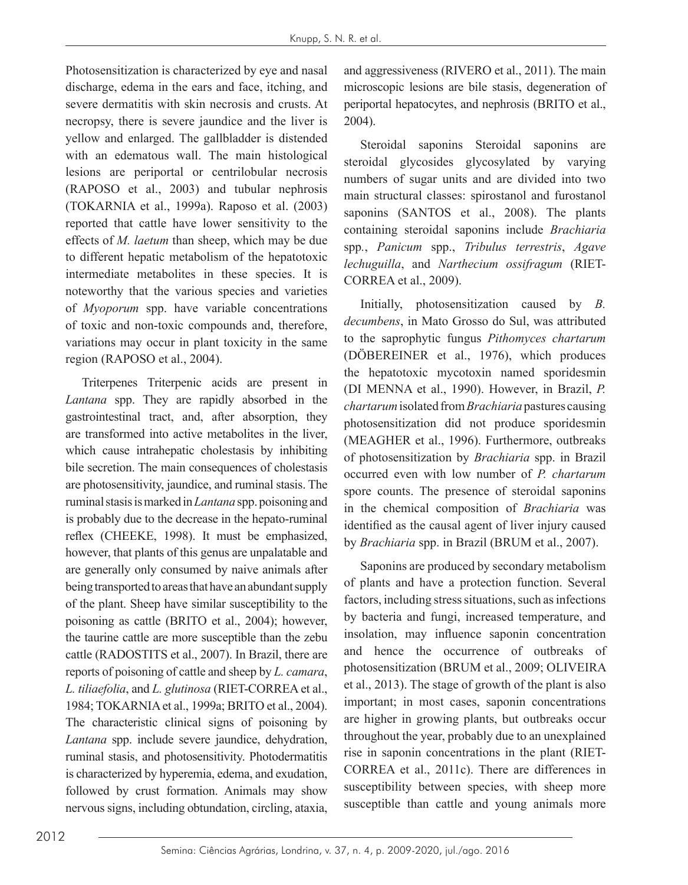Photosensitization is characterized by eye and nasal discharge, edema in the ears and face, itching, and severe dermatitis with skin necrosis and crusts. At necropsy, there is severe jaundice and the liver is yellow and enlarged. The gallbladder is distended with an edematous wall. The main histological lesions are periportal or centrilobular necrosis (RAPOSO et al., 2003) and tubular nephrosis (TOKARNIA et al., 1999a). Raposo et al. (2003) reported that cattle have lower sensitivity to the effects of *M. laetum* than sheep, which may be due to different hepatic metabolism of the hepatotoxic intermediate metabolites in these species. It is noteworthy that the various species and varieties of *Myoporum* spp. have variable concentrations of toxic and non-toxic compounds and, therefore, variations may occur in plant toxicity in the same region (RAPOSO et al., 2004).

Triterpenes Triterpenic acids are present in *Lantana* spp. They are rapidly absorbed in the gastrointestinal tract, and, after absorption, they are transformed into active metabolites in the liver, which cause intrahepatic cholestasis by inhibiting bile secretion. The main consequences of cholestasis are photosensitivity, jaundice, and ruminal stasis. The ruminal stasis is marked in *Lantana* spp. poisoning and is probably due to the decrease in the hepato-ruminal reflex (CHEEKE, 1998). It must be emphasized, however, that plants of this genus are unpalatable and are generally only consumed by naive animals after being transported to areas that have an abundant supply of the plant. Sheep have similar susceptibility to the poisoning as cattle (BRITO et al., 2004); however, the taurine cattle are more susceptible than the zebu cattle (RADOSTITS et al., 2007). In Brazil, there are reports of poisoning of cattle and sheep by *L. camara*, *L. tiliaefolia*, and *L. glutinosa* (RIET-CORREA et al., 1984; TOKARNIA et al., 1999a; BRITO et al., 2004). The characteristic clinical signs of poisoning by *Lantana* spp. include severe jaundice, dehydration, ruminal stasis, and photosensitivity. Photodermatitis is characterized by hyperemia, edema, and exudation, followed by crust formation. Animals may show nervous signs, including obtundation, circling, ataxia,

and aggressiveness (RIVERO et al., 2011). The main microscopic lesions are bile stasis, degeneration of periportal hepatocytes, and nephrosis (BRITO et al., 2004).

Steroidal saponins Steroidal saponins are steroidal glycosides glycosylated by varying numbers of sugar units and are divided into two main structural classes: spirostanol and furostanol saponins (SANTOS et al., 2008). The plants containing steroidal saponins include *Brachiaria*  spp*.*, *Panicum* spp., *Tribulus terrestris*, *Agave lechuguilla*, and *Narthecium ossifragum* (RIET-CORREA et al., 2009).

Initially, photosensitization caused by *B. decumbens*, in Mato Grosso do Sul, was attributed to the saprophytic fungus *Pithomyces chartarum* (DÖBEREINER et al., 1976), which produces the hepatotoxic mycotoxin named sporidesmin (DI MENNA et al., 1990). However, in Brazil, *P. chartarum* isolated from *Brachiaria* pastures causing photosensitization did not produce sporidesmin (MEAGHER et al., 1996). Furthermore, outbreaks of photosensitization by *Brachiaria* spp. in Brazil occurred even with low number of *P. chartarum*  spore counts. The presence of steroidal saponins in the chemical composition of *Brachiaria* was identified as the causal agent of liver injury caused by *Brachiaria* spp. in Brazil (BRUM et al., 2007).

Saponins are produced by secondary metabolism of plants and have a protection function. Several factors, including stress situations, such as infections by bacteria and fungi, increased temperature, and insolation, may influence saponin concentration and hence the occurrence of outbreaks of photosensitization (BRUM et al., 2009; OLIVEIRA et al., 2013). The stage of growth of the plant is also important; in most cases, saponin concentrations are higher in growing plants, but outbreaks occur throughout the year, probably due to an unexplained rise in saponin concentrations in the plant (RIET-CORREA et al., 2011c). There are differences in susceptibility between species, with sheep more susceptible than cattle and young animals more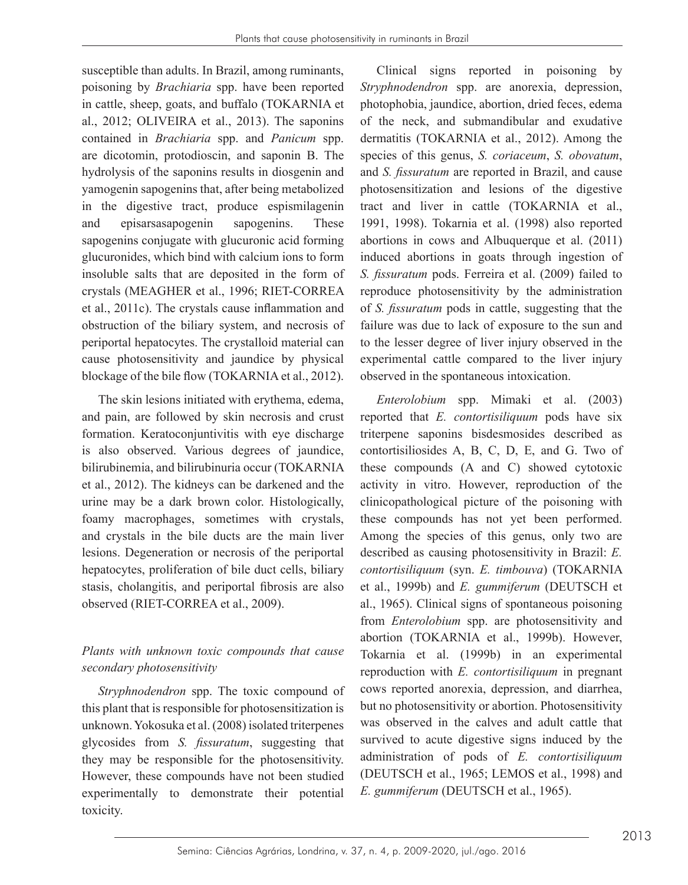susceptible than adults. In Brazil, among ruminants, poisoning by *Brachiaria* spp. have been reported in cattle, sheep, goats, and buffalo (TOKARNIA et al., 2012; OLIVEIRA et al., 2013). The saponins contained in *Brachiaria* spp. and *Panicum* spp. are dicotomin, protodioscin, and saponin B. The hydrolysis of the saponins results in diosgenin and yamogenin sapogenins that, after being metabolized in the digestive tract, produce espismilagenin and episarsasapogenin sapogenins. These sapogenins conjugate with glucuronic acid forming glucuronides, which bind with calcium ions to form insoluble salts that are deposited in the form of crystals (MEAGHER et al., 1996; RIET-CORREA et al., 2011c). The crystals cause inflammation and obstruction of the biliary system, and necrosis of periportal hepatocytes. The crystalloid material can cause photosensitivity and jaundice by physical blockage of the bile flow (TOKARNIA et al., 2012).

The skin lesions initiated with erythema, edema, and pain, are followed by skin necrosis and crust formation. Keratoconjuntivitis with eye discharge is also observed. Various degrees of jaundice, bilirubinemia, and bilirubinuria occur (TOKARNIA et al., 2012). The kidneys can be darkened and the urine may be a dark brown color. Histologically, foamy macrophages, sometimes with crystals, and crystals in the bile ducts are the main liver lesions. Degeneration or necrosis of the periportal hepatocytes, proliferation of bile duct cells, biliary stasis, cholangitis, and periportal fibrosis are also observed (RIET-CORREA et al., 2009).

## *Plants with unknown toxic compounds that cause secondary photosensitivity*

*Stryphnodendron* spp. The toxic compound of this plant that is responsible for photosensitization is unknown. Yokosuka et al. (2008) isolated triterpenes glycosides from *S. fissuratum*, suggesting that they may be responsible for the photosensitivity. However, these compounds have not been studied experimentally to demonstrate their potential toxicity.

Clinical signs reported in poisoning by *Stryphnodendron* spp. are anorexia, depression, photophobia, jaundice, abortion, dried feces, edema of the neck, and submandibular and exudative dermatitis (TOKARNIA et al., 2012). Among the species of this genus, *S. coriaceum*, *S. obovatum*, and *S. fissuratum* are reported in Brazil, and cause photosensitization and lesions of the digestive tract and liver in cattle (TOKARNIA et al., 1991, 1998). Tokarnia et al. (1998) also reported abortions in cows and Albuquerque et al. (2011) induced abortions in goats through ingestion of *S. fissuratum* pods. Ferreira et al. (2009) failed to reproduce photosensitivity by the administration of *S. fissuratum* pods in cattle, suggesting that the failure was due to lack of exposure to the sun and to the lesser degree of liver injury observed in the experimental cattle compared to the liver injury observed in the spontaneous intoxication.

*Enterolobium* spp. Mimaki et al. (2003) reported that *E. contortisiliquum* pods have six triterpene saponins bisdesmosides described as contortisiliosides A, B, C, D, E, and G. Two of these compounds (A and C) showed cytotoxic activity in vitro. However, reproduction of the clinicopathological picture of the poisoning with these compounds has not yet been performed. Among the species of this genus, only two are described as causing photosensitivity in Brazil: *E. contortisiliquum* (syn. *E. timbouva*) (TOKARNIA et al., 1999b) and *E. gummiferum* (DEUTSCH et al., 1965). Clinical signs of spontaneous poisoning from *Enterolobium* spp. are photosensitivity and abortion (TOKARNIA et al., 1999b). However, Tokarnia et al. (1999b) in an experimental reproduction with *E. contortisiliquum* in pregnant cows reported anorexia, depression, and diarrhea, but no photosensitivity or abortion. Photosensitivity was observed in the calves and adult cattle that survived to acute digestive signs induced by the administration of pods of *E. contortisiliquum* (DEUTSCH et al., 1965; LEMOS et al., 1998) and *E. gummiferum* (DEUTSCH et al., 1965).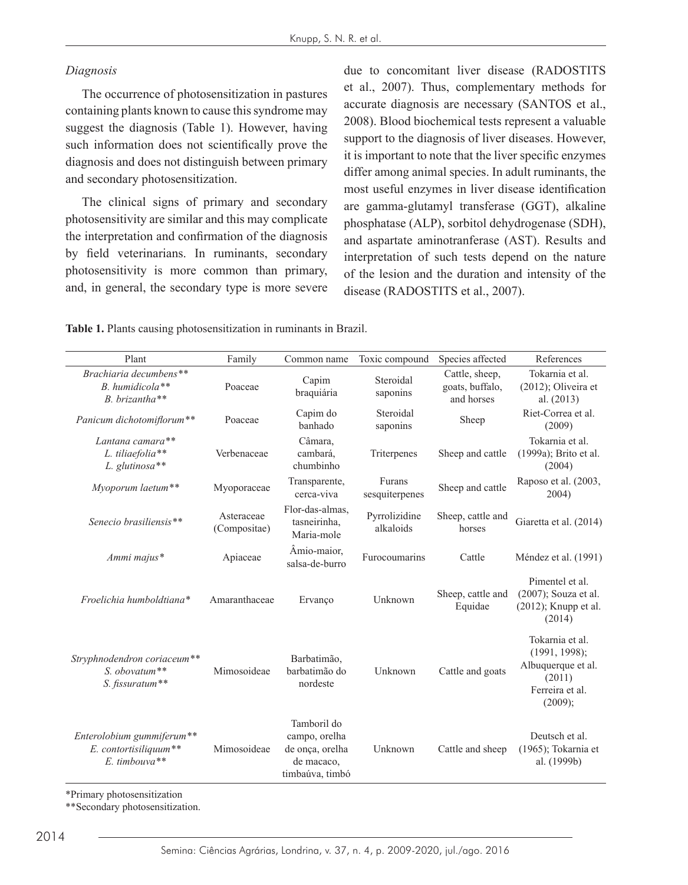#### *Diagnosis*

The occurrence of photosensitization in pastures containing plants known to cause this syndrome may suggest the diagnosis (Table 1). However, having such information does not scientifically prove the diagnosis and does not distinguish between primary and secondary photosensitization.

The clinical signs of primary and secondary photosensitivity are similar and this may complicate the interpretation and confirmation of the diagnosis by field veterinarians. In ruminants, secondary photosensitivity is more common than primary, and, in general, the secondary type is more severe

due to concomitant liver disease (RADOSTITS et al., 2007). Thus, complementary methods for accurate diagnosis are necessary (SANTOS et al., 2008). Blood biochemical tests represent a valuable support to the diagnosis of liver diseases. However, it is important to note that the liver specific enzymes differ among animal species. In adult ruminants, the most useful enzymes in liver disease identification are gamma-glutamyl transferase (GGT), alkaline phosphatase (ALP), sorbitol dehydrogenase (SDH), and aspartate aminotranferase (AST). Results and interpretation of such tests depend on the nature of the lesion and the duration and intensity of the disease (RADOSTITS et al., 2007).

**Table 1.** Plants causing photosensitization in ruminants in Brazil.

| Plant                                                                 | Family                     | Common name                                                                      | Toxic compound             | Species affected                                | References                                                                                        |
|-----------------------------------------------------------------------|----------------------------|----------------------------------------------------------------------------------|----------------------------|-------------------------------------------------|---------------------------------------------------------------------------------------------------|
| Brachiaria decumbens**<br>B. humidicola**<br>B. brizantha**           | Poaceae                    | Capim<br>braquiária                                                              | Steroidal<br>saponins      | Cattle, sheep,<br>goats, buffalo,<br>and horses | Tokarnia et al.<br>$(2012)$ ; Oliveira et<br>al. $(2013)$                                         |
| Panicum dichotomiflorum**                                             | Poaceae                    | Capim do<br>banhado                                                              | Steroidal<br>saponins      | Sheep                                           | Riet-Correa et al.<br>(2009)                                                                      |
| Lantana camara**<br>L. tiliaefolia**<br>L. glutinosa**                | Verbenaceae                | Câmara.<br>cambará.<br>chumbinho                                                 | Triterpenes                | Sheep and cattle                                | Tokarnia et al.<br>(1999a); Brito et al.<br>(2004)                                                |
| Myoporum laetum**                                                     | Myoporaceae                | Transparente,<br>cerca-viva                                                      | Furans<br>sesquiterpenes   | Sheep and cattle                                | Raposo et al. (2003,<br>2004)                                                                     |
| Senecio brasiliensis**                                                | Asteraceae<br>(Compositae) | Flor-das-almas,<br>tasneirinha,<br>Maria-mole                                    | Pyrrolizidine<br>alkaloids | Sheep, cattle and<br>horses                     | Giaretta et al. (2014)                                                                            |
| Ammi majus*                                                           | Apiaceae                   | Âmio-maior,<br>salsa-de-burro                                                    | Furocoumarins              | Cattle                                          | Méndez et al. (1991)                                                                              |
| Froelichia humboldtiana*                                              | Amaranthaceae              | Ervanco                                                                          | Unknown                    | Sheep, cattle and<br>Equidae                    | Pimentel et al.<br>(2007); Souza et al.<br>(2012); Knupp et al.<br>(2014)                         |
| Stryphnodendron coriaceum**<br>S. obovatum**<br>S. fissuratum**       | Mimosoideae                | Barbatimão,<br>barbatimão do<br>nordeste                                         | Unknown                    | Cattle and goats                                | Tokarnia et al.<br>(1991, 1998);<br>Albuquerque et al.<br>(2011)<br>Ferreira et al.<br>$(2009)$ ; |
| Enterolobium gummiferum**<br>E. contortisiliquum**<br>$E. timbouva**$ | Mimosoideae                | Tamboril do<br>campo, orelha<br>de onça, orelha<br>de macaco,<br>timbaúva, timbó | Unknown                    | Cattle and sheep                                | Deutsch et al.<br>$(1965)$ ; Tokarnia et<br>al. (1999b)                                           |
| *Primary photosensitization                                           |                            |                                                                                  |                            |                                                 |                                                                                                   |

\*\*Secondary photosensitization.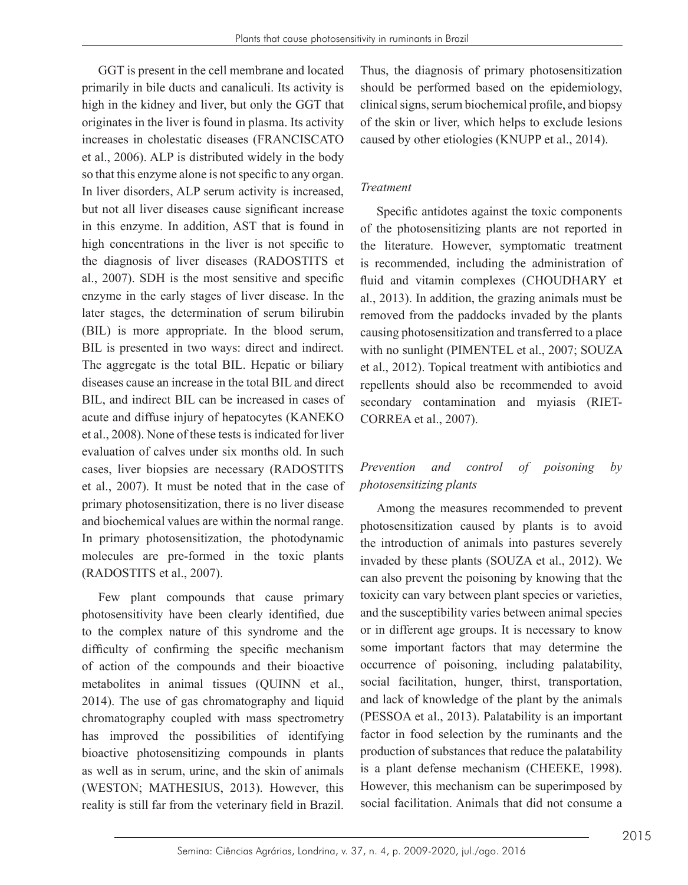GGT is present in the cell membrane and located primarily in bile ducts and canaliculi. Its activity is high in the kidney and liver, but only the GGT that originates in the liver is found in plasma. Its activity increases in cholestatic diseases (FRANCISCATO et al., 2006). ALP is distributed widely in the body so that this enzyme alone is not specific to any organ. In liver disorders, ALP serum activity is increased, but not all liver diseases cause significant increase in this enzyme. In addition, AST that is found in high concentrations in the liver is not specific to the diagnosis of liver diseases (RADOSTITS et al., 2007). SDH is the most sensitive and specific enzyme in the early stages of liver disease. In the later stages, the determination of serum bilirubin (BIL) is more appropriate. In the blood serum, BIL is presented in two ways: direct and indirect. The aggregate is the total BIL. Hepatic or biliary diseases cause an increase in the total BIL and direct BIL, and indirect BIL can be increased in cases of acute and diffuse injury of hepatocytes (KANEKO et al., 2008). None of these tests is indicated for liver evaluation of calves under six months old. In such cases, liver biopsies are necessary (RADOSTITS et al., 2007). It must be noted that in the case of primary photosensitization, there is no liver disease and biochemical values are within the normal range. In primary photosensitization, the photodynamic molecules are pre-formed in the toxic plants (RADOSTITS et al., 2007).

Few plant compounds that cause primary photosensitivity have been clearly identified, due to the complex nature of this syndrome and the difficulty of confirming the specific mechanism of action of the compounds and their bioactive metabolites in animal tissues (QUINN et al., 2014). The use of gas chromatography and liquid chromatography coupled with mass spectrometry has improved the possibilities of identifying bioactive photosensitizing compounds in plants as well as in serum, urine, and the skin of animals (WESTON; MATHESIUS, 2013). However, this reality is still far from the veterinary field in Brazil. Thus, the diagnosis of primary photosensitization should be performed based on the epidemiology, clinical signs, serum biochemical profile, and biopsy of the skin or liver, which helps to exclude lesions caused by other etiologies (KNUPP et al., 2014).

### *Treatment*

Specific antidotes against the toxic components of the photosensitizing plants are not reported in the literature. However, symptomatic treatment is recommended, including the administration of fluid and vitamin complexes (CHOUDHARY et al., 2013). In addition, the grazing animals must be removed from the paddocks invaded by the plants causing photosensitization and transferred to a place with no sunlight (PIMENTEL et al., 2007; SOUZA et al., 2012). Topical treatment with antibiotics and repellents should also be recommended to avoid secondary contamination and myiasis (RIET-CORREA et al., 2007).

# *Prevention and control of poisoning by photosensitizing plants*

Among the measures recommended to prevent photosensitization caused by plants is to avoid the introduction of animals into pastures severely invaded by these plants (SOUZA et al., 2012). We can also prevent the poisoning by knowing that the toxicity can vary between plant species or varieties, and the susceptibility varies between animal species or in different age groups. It is necessary to know some important factors that may determine the occurrence of poisoning, including palatability, social facilitation, hunger, thirst, transportation, and lack of knowledge of the plant by the animals (PESSOA et al., 2013). Palatability is an important factor in food selection by the ruminants and the production of substances that reduce the palatability is a plant defense mechanism (CHEEKE, 1998). However, this mechanism can be superimposed by social facilitation. Animals that did not consume a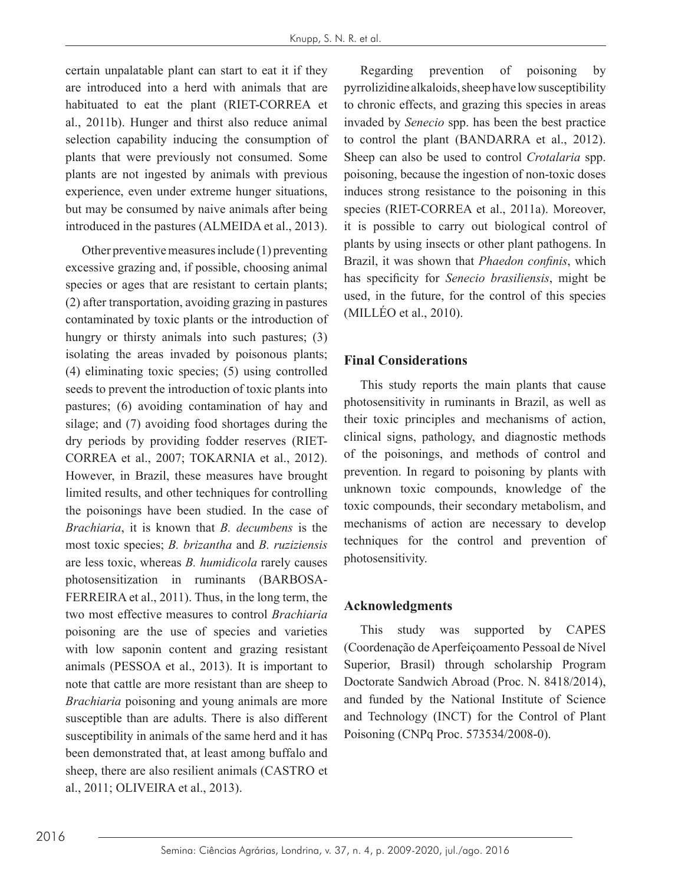certain unpalatable plant can start to eat it if they are introduced into a herd with animals that are habituated to eat the plant (RIET-CORREA et al., 2011b). Hunger and thirst also reduce animal selection capability inducing the consumption of plants that were previously not consumed. Some plants are not ingested by animals with previous experience, even under extreme hunger situations, but may be consumed by naive animals after being introduced in the pastures (ALMEIDA et al., 2013).

Other preventive measures include (1) preventing excessive grazing and, if possible, choosing animal species or ages that are resistant to certain plants; (2) after transportation, avoiding grazing in pastures contaminated by toxic plants or the introduction of hungry or thirsty animals into such pastures; (3) isolating the areas invaded by poisonous plants; (4) eliminating toxic species; (5) using controlled seeds to prevent the introduction of toxic plants into pastures; (6) avoiding contamination of hay and silage; and (7) avoiding food shortages during the dry periods by providing fodder reserves (RIET-CORREA et al., 2007; TOKARNIA et al., 2012). However, in Brazil, these measures have brought limited results, and other techniques for controlling the poisonings have been studied. In the case of *Brachiaria*, it is known that *B. decumbens* is the most toxic species; *B. brizantha* and *B. ruziziensis* are less toxic, whereas *B. humidicola* rarely causes photosensitization in ruminants (BARBOSA-FERREIRA et al., 2011). Thus, in the long term, the two most effective measures to control *Brachiaria*  poisoning are the use of species and varieties with low saponin content and grazing resistant animals (PESSOA et al., 2013). It is important to note that cattle are more resistant than are sheep to *Brachiaria* poisoning and young animals are more susceptible than are adults. There is also different susceptibility in animals of the same herd and it has been demonstrated that, at least among buffalo and sheep, there are also resilient animals (CASTRO et al., 2011; OLIVEIRA et al., 2013).

Regarding prevention of poisoning by pyrrolizidine alkaloids, sheep have low susceptibility to chronic effects, and grazing this species in areas invaded by *Senecio* spp. has been the best practice to control the plant (BANDARRA et al., 2012). Sheep can also be used to control *Crotalaria* spp. poisoning, because the ingestion of non-toxic doses induces strong resistance to the poisoning in this species (RIET-CORREA et al., 2011a). Moreover, it is possible to carry out biological control of plants by using insects or other plant pathogens. In Brazil, it was shown that *Phaedon confinis*, which has specificity for *Senecio brasiliensis*, might be used, in the future, for the control of this species (MILLÉO et al., 2010).

### **Final Considerations**

This study reports the main plants that cause photosensitivity in ruminants in Brazil, as well as their toxic principles and mechanisms of action, clinical signs, pathology, and diagnostic methods of the poisonings, and methods of control and prevention. In regard to poisoning by plants with unknown toxic compounds, knowledge of the toxic compounds, their secondary metabolism, and mechanisms of action are necessary to develop techniques for the control and prevention of photosensitivity.

### **Acknowledgments**

This study was supported by CAPES (Coordenação de Aperfeiçoamento Pessoal de Nível Superior, Brasil) through scholarship Program Doctorate Sandwich Abroad (Proc. N. 8418/2014), and funded by the National Institute of Science and Technology (INCT) for the Control of Plant Poisoning (CNPq Proc. 573534/2008-0).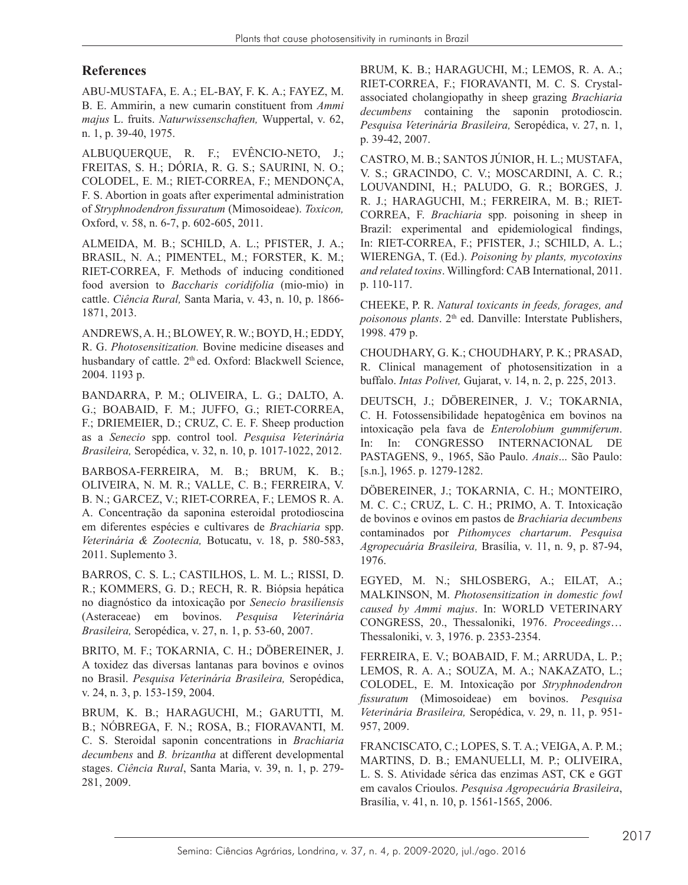### **References**

ABU-MUSTAFA, E. A.; EL-BAY, F. K. A.; FAYEZ, M. B. E. Ammirin, a new cumarin constituent from *Ammi majus* L. fruits. *Naturwissenschaften,* Wuppertal, v. 62, n. 1, p. 39-40, 1975.

ALBUQUERQUE, R. F.; EVÊNCIO-NETO, J.; FREITAS, S. H.; DÓRIA, R. G. S.; SAURINI, N. O.; COLODEL, E. M.; RIET-CORREA, F.; MENDONÇA, F. S. Abortion in goats after experimental administration of *Stryphnodendron fissuratum* (Mimosoideae). *Toxicon,* Oxford, v. 58, n. 6-7, p. 602-605, 2011.

ALMEIDA, M. B.; SCHILD, A. L.; PFISTER, J. A.; BRASIL, N. A.; PIMENTEL, M.; FORSTER, K. M.; RIET-CORREA, F. Methods of inducing conditioned food aversion to *Baccharis coridifolia* (mio-mio) in cattle. *Ciência Rural,* Santa Maria, v. 43, n. 10, p. 1866- 1871, 2013.

ANDREWS, A. H.; BLOWEY, R. W.; BOYD, H.; EDDY, R. G. *Photosensitization.* Bovine medicine diseases and husbandary of cattle. 2<sup>th</sup> ed. Oxford: Blackwell Science, 2004. 1193 p.

BANDARRA, P. M.; OLIVEIRA, L. G.; DALTO, A. G.; BOABAID, F. M.; JUFFO, G.; RIET-CORREA, F.; DRIEMEIER, D.; CRUZ, C. E. F. Sheep production as a *Senecio* spp. control tool. *Pesquisa Veterinária Brasileira,* Seropédica, v. 32, n. 10, p. 1017-1022, 2012.

BARBOSA-FERREIRA, M. B.; BRUM, K. B.; OLIVEIRA, N. M. R.; VALLE, C. B.; FERREIRA, V. B. N.; GARCEZ, V.; RIET-CORREA, F.; LEMOS R. A. A. Concentração da saponina esteroidal protodioscina em diferentes espécies e cultivares de *Brachiaria* spp. *Veterinária & Zootecnia,* Botucatu, v. 18, p. 580-583, 2011. Suplemento 3.

BARROS, C. S. L.; CASTILHOS, L. M. L.; RISSI, D. R.; KOMMERS, G. D.; RECH, R. R. Biópsia hepática no diagnóstico da intoxicação por *Senecio brasiliensis*  (Asteraceae) em bovinos. *Pesquisa Veterinária Brasileira,* Seropédica, v. 27, n. 1, p. 53-60, 2007.

BRITO, M. F.; TOKARNIA, C. H.; DÖBEREINER, J. A toxidez das diversas lantanas para bovinos e ovinos no Brasil. *Pesquisa Veterinária Brasileira,* Seropédica, v. 24, n. 3, p. 153-159, 2004.

BRUM, K. B.; HARAGUCHI, M.; GARUTTI, M. B.; NÓBREGA, F. N.; ROSA, B.; FIORAVANTI, M. C. S. Steroidal saponin concentrations in *Brachiaria decumbens* and *B. brizantha* at different developmental stages. *Ciência Rural*, Santa Maria, v. 39, n. 1, p. 279- 281, 2009.

BRUM, K. B.; HARAGUCHI, M.; LEMOS, R. A. A.; RIET-CORREA, F.; FIORAVANTI, M. C. S. Crystalassociated cholangiopathy in sheep grazing *Brachiaria decumbens* containing the saponin protodioscin. *Pesquisa Veterinária Brasileira,* Seropédica, v. 27, n. 1, p. 39-42, 2007.

CASTRO, M. B.; SANTOS JÚNIOR, H. L.; MUSTAFA, V. S.; GRACINDO, C. V.; MOSCARDINI, A. C. R.; LOUVANDINI, H.; PALUDO, G. R.; BORGES, J. R. J.; HARAGUCHI, M.; FERREIRA, M. B.; RIET-CORREA, F. *Brachiaria* spp. poisoning in sheep in Brazil: experimental and epidemiological findings, In: RIET-CORREA, F.; PFISTER, J.; SCHILD, A. L.; WIERENGA, T. (Ed.). *Poisoning by plants, mycotoxins and related toxins*. Willingford: CAB International, 2011. p. 110-117.

CHEEKE, P. R. *Natural toxicants in feeds, forages, and poisonous plants*. 2<sup>th</sup> ed. Danville: Interstate Publishers, 1998. 479 p.

CHOUDHARY, G. K.; CHOUDHARY, P. K.; PRASAD, R. Clinical management of photosensitization in a buffalo. *Intas Polivet,* Gujarat, v. 14, n. 2, p. 225, 2013.

DEUTSCH, J.; DÖBEREINER, J. V.; TOKARNIA, C. H. Fotossensibilidade hepatogênica em bovinos na intoxicação pela fava de *Enterolobium gummiferum*. In: In: CONGRESSO INTERNACIONAL DE PASTAGENS, 9., 1965, São Paulo. *Anais*... São Paulo: [s.n.], 1965. p. 1279-1282.

DÖBEREINER, J.; TOKARNIA, C. H.; MONTEIRO, M. C. C.; CRUZ, L. C. H.; PRIMO, A. T. Intoxicação de bovinos e ovinos em pastos de *Brachiaria decumbens* contaminados por *Pithomyces chartarum*. *Pesquisa Agropecuária Brasileira,* Brasília, v. 11, n. 9, p. 87-94, 1976.

EGYED, M. N.; SHLOSBERG, A.; EILAT, A.; MALKINSON, M. *Photosensitization in domestic fowl caused by Ammi majus*. In: WORLD VETERINARY CONGRESS, 20., Thessaloniki, 1976. *Proceedings*… Thessaloniki, v. 3, 1976. p. 2353-2354.

FERREIRA, E. V.; BOABAID, F. M.; ARRUDA, L. P.; LEMOS, R. A. A.; SOUZA, M. A.; NAKAZATO, L.; COLODEL, E. M. Intoxicação por *Stryphnodendron fissuratum* (Mimosoideae) em bovinos. *Pesquisa Veterinária Brasileira,* Seropédica, v. 29, n. 11, p. 951- 957, 2009.

FRANCISCATO, C.; LOPES, S. T. A.; VEIGA, A. P. M.; MARTINS, D. B.; EMANUELLI, M. P.; OLIVEIRA, L. S. S. Atividade sérica das enzimas AST, CK e GGT em cavalos Crioulos. *Pesquisa Agropecuária Brasileira*, Brasília, v. 41, n. 10, p. 1561-1565, 2006.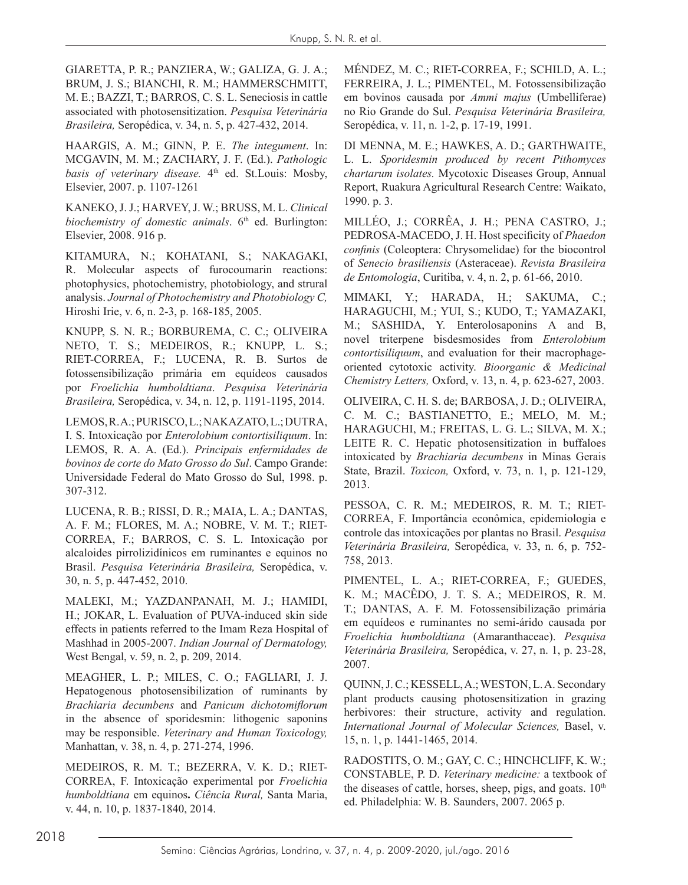GIARETTA, P. R.; PANZIERA, W.; GALIZA, G. J. A.; BRUM, J. S.; BIANCHI, R. M.; HAMMERSCHMITT, M. E.; BAZZI, T.; BARROS, C. S. L. Seneciosis in cattle associated with photosensitization. *Pesquisa Veterinária Brasileira,* Seropédica, v. 34, n. 5, p. 427-432, 2014.

HAARGIS, A. M.; GINN, P. E. *The integument*. In: MCGAVIN, M. M.; ZACHARY, J. F. (Ed.). *Pathologic*  basis of veterinary disease. 4<sup>th</sup> ed. St.Louis: Mosby, Elsevier, 2007. p. 1107-1261

KANEKO, J. J.; HARVEY, J. W.; BRUSS, M. L. *Clinical biochemistry of domestic animals*. 6<sup>th</sup> ed. Burlington: Elsevier, 2008. 916 p.

KITAMURA, N.; KOHATANI, S.; NAKAGAKI, R. Molecular aspects of furocoumarin reactions: photophysics, photochemistry, photobiology, and strural analysis. *Journal of Photochemistry and Photobiology C,* Hiroshi Irie, v. 6, n. 2-3, p. 168-185, 2005.

KNUPP, S. N. R.; BORBUREMA, C. C.; OLIVEIRA NETO, T. S.; MEDEIROS, R.; KNUPP, L. S.; RIET-CORREA, F.; LUCENA, R. B. Surtos de fotossensibilização primária em equídeos causados por *Froelichia humboldtiana*. *Pesquisa Veterinária Brasileira,* Seropédica, v. 34, n. 12, p. 1191-1195, 2014.

LEMOS, R. A.; PURISCO, L.; NAKAZATO, L.; DUTRA, I. S. Intoxicação por *Enterolobium contortisiliquum*. In: LEMOS, R. A. A. (Ed.). *Principais enfermidades de bovinos de corte do Mato Grosso do Sul*. Campo Grande: Universidade Federal do Mato Grosso do Sul, 1998. p. 307-312.

LUCENA, R. B.; RISSI, D. R.; MAIA, L. A.; DANTAS, A. F. M.; FLORES, M. A.; NOBRE, V. M. T.; RIET-CORREA, F.; BARROS, C. S. L. Intoxicação por alcaloides pirrolizidínicos em ruminantes e equinos no Brasil. *Pesquisa Veterinária Brasileira,* Seropédica, v. 30, n. 5, p. 447-452, 2010.

MALEKI, M.; YAZDANPANAH, M. J.; HAMIDI, H.; JOKAR, L. Evaluation of PUVA-induced skin side effects in patients referred to the Imam Reza Hospital of Mashhad in 2005-2007. *Indian Journal of Dermatology,*  West Bengal, v. 59, n. 2, p. 209, 2014.

MEAGHER, L. P.; MILES, C. O.; FAGLIARI, J. J. Hepatogenous photosensibilization of ruminants by *Brachiaria decumbens* and *Panicum dichotomiflorum* in the absence of sporidesmin: lithogenic saponins may be responsible. *Veterinary and Human Toxicology,* Manhattan, v. 38, n. 4, p. 271-274, 1996.

MEDEIROS, R. M. T.; BEZERRA, V. K. D.; RIET-CORREA, F. Intoxicação experimental por *Froelichia humboldtiana* em equinos**.** *Ciência Rural,* Santa Maria, v. 44, n. 10, p. 1837-1840, 2014.

MÉNDEZ, M. C.; RIET-CORREA, F.; SCHILD, A. L.; FERREIRA, J. L.; PIMENTEL, M. Fotossensibilização em bovinos causada por *Ammi majus* (Umbelliferae) no Rio Grande do Sul. *Pesquisa Veterinária Brasileira,*  Seropédica, v. 11, n. 1-2, p. 17-19, 1991.

DI MENNA, M. E.; HAWKES, A. D.; GARTHWAITE, L. L. *Sporidesmin produced by recent Pithomyces chartarum isolates.* Mycotoxic Diseases Group, Annual Report, Ruakura Agricultural Research Centre: Waikato, 1990. p. 3.

MILLÉO, J.; CORRÊA, J. H.; PENA CASTRO, J.; PEDROSA-MACEDO, J. H. Host specificity of *Phaedon confinis* (Coleoptera: Chrysomelidae) for the biocontrol of *Senecio brasiliensis* (Asteraceae). *Revista Brasileira de Entomologia*, Curitiba, v. 4, n. 2, p. 61-66, 2010.

MIMAKI, Y.; HARADA, H.; SAKUMA, C.; HARAGUCHI, M.; YUI, S.; KUDO, T.; YAMAZAKI, M.; SASHIDA, Y. Enterolosaponins A and B, novel triterpene bisdesmosides from *Enterolobium contortisiliquum*, and evaluation for their macrophageoriented cytotoxic activity. *Bioorganic & Medicinal Chemistry Letters,* Oxford, v. 13, n. 4, p. 623-627, 2003.

OLIVEIRA, C. H. S. de; BARBOSA, J. D.; OLIVEIRA, C. M. C.; BASTIANETTO, E.; MELO, M. M.; HARAGUCHI, M.; FREITAS, L. G. L.; SILVA, M. X.; LEITE R. C. Hepatic photosensitization in buffaloes intoxicated by *Brachiaria decumbens* in Minas Gerais State, Brazil. *Toxicon,* Oxford, v. 73, n. 1, p. 121-129, 2013.

PESSOA, C. R. M.; MEDEIROS, R. M. T.; RIET-CORREA, F. Importância econômica, epidemiologia e controle das intoxicações por plantas no Brasil. *Pesquisa Veterinária Brasileira,* Seropédica, v. 33, n. 6, p. 752- 758, 2013.

PIMENTEL, L. A.; RIET-CORREA, F.; GUEDES, K. M.; MACÊDO, J. T. S. A.; MEDEIROS, R. M. T.; DANTAS, A. F. M. Fotossensibilização primária em equídeos e ruminantes no semi-árido causada por *Froelichia humboldtiana* (Amaranthaceae). *Pesquisa Veterinária Brasileira,* Seropédica, v. 27, n. 1, p. 23-28, 2007.

QUINN, J. C.; KESSELL, A.; WESTON, L. A. Secondary plant products causing photosensitization in grazing herbivores: their structure, activity and regulation. *International Journal of Molecular Sciences,* Basel, v. 15, n. 1, p. 1441-1465, 2014.

RADOSTITS, O. M.; GAY, C. C.; HINCHCLIFF, K. W.; CONSTABLE, P. D. *Veterinary medicine:* a textbook of the diseases of cattle, horses, sheep, pigs, and goats.  $10<sup>th</sup>$ ed. Philadelphia: W. B. Saunders, 2007. 2065 p.